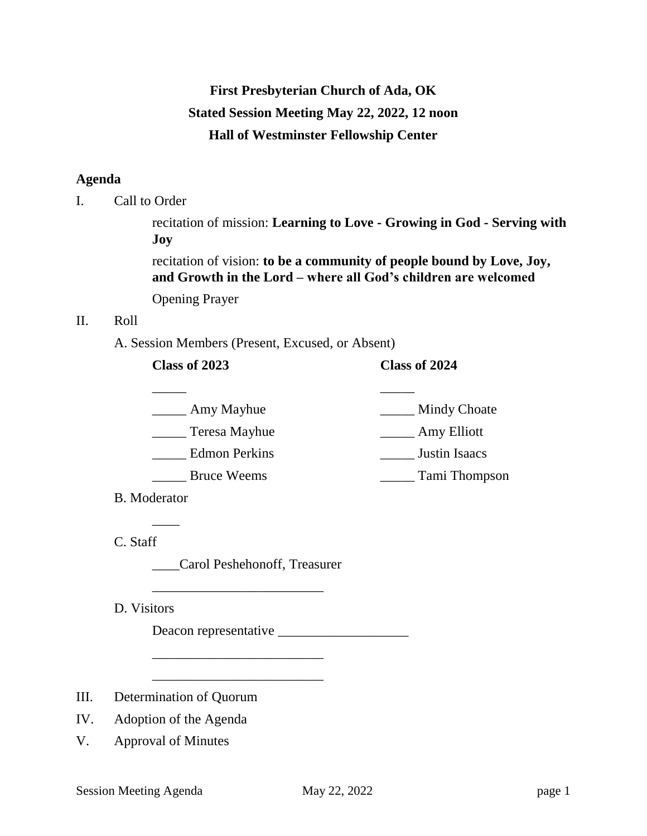# **First Presbyterian Church of Ada, OK Stated Session Meeting May 22, 2022, 12 noon Hall of Westminster Fellowship Center**

## **Agenda**

I. Call to Order

recitation of mission: **Learning to Love - Growing in God - Serving with Joy**

recitation of vision: **to be a community of people bound by Love, Joy, and Growth in the Lord – where all God's children are welcomed**

Opening Prayer

# II. Roll

A. Session Members (Present, Excused, or Absent)

## **Class of 2023 Class of 2024**

- \_\_\_\_\_ \_\_\_\_\_ \_\_\_\_\_\_ Amy Mayhue \_\_\_\_\_\_\_\_ Mindy Choate \_\_\_\_\_ Teresa Mayhue \_\_\_\_\_ Amy Elliott \_\_\_\_\_ Edmon Perkins \_\_\_\_\_ Justin Isaacs \_\_\_\_\_ Bruce Weems \_\_\_\_\_ Tami Thompson
- B. Moderator

 $\overline{\phantom{a}}$ 

C. Staff

\_\_\_\_Carol Peshehonoff, Treasurer

\_\_\_\_\_\_\_\_\_\_\_\_\_\_\_\_\_\_\_\_\_\_\_\_\_

\_\_\_\_\_\_\_\_\_\_\_\_\_\_\_\_\_\_\_\_\_\_\_\_\_

\_\_\_\_\_\_\_\_\_\_\_\_\_\_\_\_\_\_\_\_\_\_\_\_\_

D. Visitors

Deacon representative \_\_\_\_\_\_\_\_\_\_\_\_\_\_\_\_\_\_\_

- III. Determination of Quorum
- IV. Adoption of the Agenda
- V. Approval of Minutes

Session Meeting Agenda May 22, 2022 page 1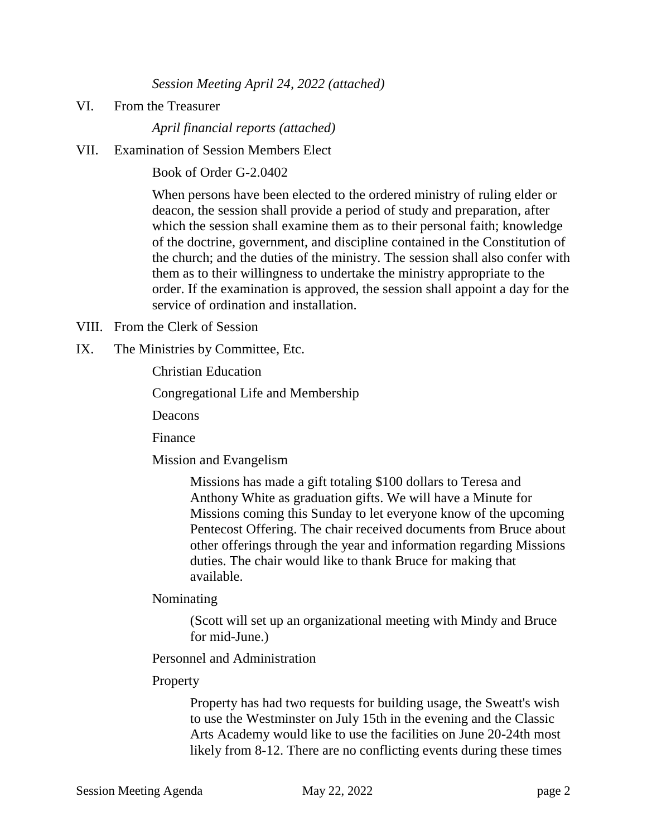*Session Meeting April 24, 2022 (attached)*

VI. From the Treasurer

*April financial reports (attached)*

VII. Examination of Session Members Elect

Book of Order G-2.0402

When persons have been elected to the ordered ministry of ruling elder or deacon, the session shall provide a period of study and preparation, after which the session shall examine them as to their personal faith; knowledge of the doctrine, government, and discipline contained in the Constitution of the church; and the duties of the ministry. The session shall also confer with them as to their willingness to undertake the ministry appropriate to the order. If the examination is approved, the session shall appoint a day for the service of ordination and installation.

- VIII. From the Clerk of Session
- IX. The Ministries by Committee, Etc.

Christian Education

Congregational Life and Membership

Deacons

Finance

Mission and Evangelism

Missions has made a gift totaling \$100 dollars to Teresa and Anthony White as graduation gifts. We will have a Minute for Missions coming this Sunday to let everyone know of the upcoming Pentecost Offering. The chair received documents from Bruce about other offerings through the year and information regarding Missions duties. The chair would like to thank Bruce for making that available.

Nominating

(Scott will set up an organizational meeting with Mindy and Bruce for mid-June.)

Personnel and Administration

#### Property

Property has had two requests for building usage, the Sweatt's wish to use the Westminster on July 15th in the evening and the Classic Arts Academy would like to use the facilities on June 20-24th most likely from 8-12. There are no conflicting events during these times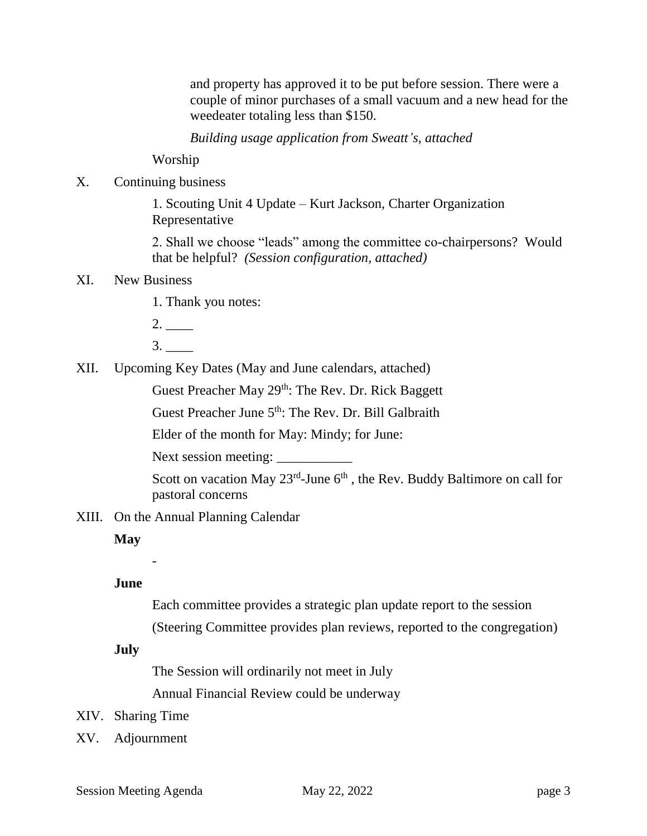and property has approved it to be put before session. There were a couple of minor purchases of a small vacuum and a new head for the weedeater totaling less than \$150.

*Building usage application from Sweatt's, attached*

Worship

X. Continuing business

1. Scouting Unit 4 Update – Kurt Jackson, Charter Organization Representative

2. Shall we choose "leads" among the committee co-chairpersons? Would that be helpful? *(Session configuration, attached)*

# XI. New Business

- 1. Thank you notes:
- 2. \_\_\_\_
- 3. \_\_\_\_
- XII. Upcoming Key Dates (May and June calendars, attached)

Guest Preacher May 29<sup>th</sup>: The Rev. Dr. Rick Baggett

Guest Preacher June 5<sup>th</sup>: The Rev. Dr. Bill Galbraith

Elder of the month for May: Mindy; for June:

Next session meeting:

Scott on vacation May  $23^{rd}$ -June  $6^{th}$ , the Rev. Buddy Baltimore on call for pastoral concerns

XIII. On the Annual Planning Calendar

## **May**

-

**June**

Each committee provides a strategic plan update report to the session (Steering Committee provides plan reviews, reported to the congregation)

### **July**

The Session will ordinarily not meet in July

Annual Financial Review could be underway

- XIV. Sharing Time
- XV. Adjournment

Session Meeting Agenda May 22, 2022 **page 3** page 3